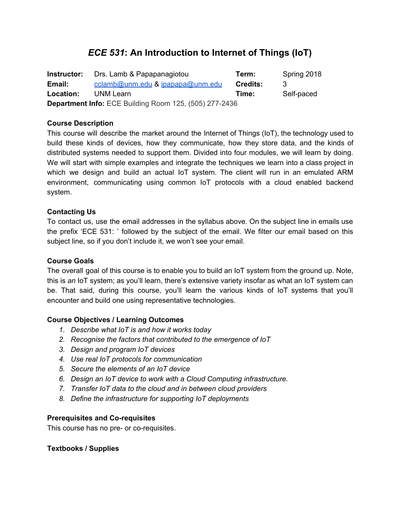# *ECE 531***: An Introduction to Internet of Things (IoT)**

**Instructor:** Drs. Lamb & Papapanagiotou **Term:** Spring 2018 **Email:** [cclamb@unm.edu](mailto:cclamb@unm.edu) & [ipapapa@unm.edu](mailto:ipapapa@unm.edu) **Credits:** 3 **Location:** UNM Learn **Time:** Self-paced **Department Info:** ECE Building Room 125, (505) 277-2436

#### **Course Description**

This course will describe the market around the Internet of Things (IoT), the technology used to build these kinds of devices, how they communicate, how they store data, and the kinds of distributed systems needed to support them. Divided into four modules, we will learn by doing. We will start with simple examples and integrate the techniques we learn into a class project in which we design and build an actual IoT system. The client will run in an emulated ARM environment, communicating using common IoT protocols with a cloud enabled backend system.

# **Contacting Us**

To contact us, use the email addresses in the syllabus above. On the subject line in emails use the prefix 'ECE 531: ' followed by the subject of the email. We filter our email based on this subject line, so if you don't include it, we won't see your email.

#### **Course Goals**

The overall goal of this course is to enable you to build an IoT system from the ground up. Note, this is *an* IoT system; as you'll learn, there's extensive variety insofar as what an IoT system can be. That said, during this course, you'll learn the various kinds of IoT systems that you'll encounter and build one using representative technologies.

#### **Course Objectives / Learning Outcomes**

- *1. Describe what IoT is and how it works today*
- *2. Recognise the factors that contributed to the emergence of IoT*
- *3. Design and program IoT devices*
- *4. Use real IoT protocols for communication*
- *5. Secure the elements of an IoT device*
- *6. Design an IoT device to work with a Cloud Computing infrastructure.*
- *7. Transfer IoT data to the cloud and in between cloud providers*
- *8. Define the infrastructure for supporting IoT deployments*

#### **Prerequisites and Co-requisites**

This course has no pre- or co-requisites.

#### **Textbooks / Supplies**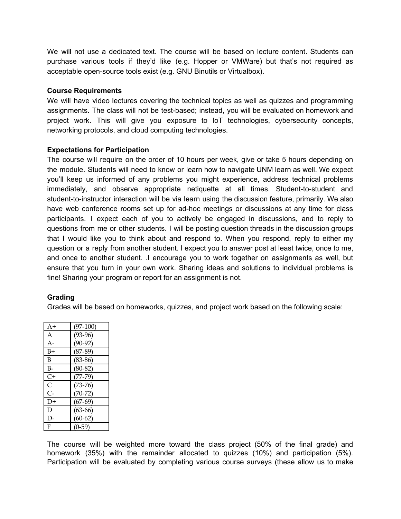We will not use a dedicated text. The course will be based on lecture content. Students can purchase various tools if they'd like (e.g. Hopper or VMWare) but that's not required as acceptable open-source tools exist (e.g. GNU Binutils or Virtualbox).

#### **Course Requirements**

We will have video lectures covering the technical topics as well as quizzes and programming assignments. The class will not be test-based; instead, you will be evaluated on homework and project work. This will give you exposure to IoT technologies, cybersecurity concepts, networking protocols, and cloud computing technologies.

#### **Expectations for Participation**

The course will require on the order of 10 hours per week, give or take 5 hours depending on the module. Students will need to know or learn how to navigate UNM learn as well. We expect you'll keep us informed of any problems you might experience, address technical problems immediately, and observe appropriate netiquette at all times. Student-to-student and student-to-instructor interaction will be via learn using the discussion feature, primarily. We also have web conference rooms set up for ad-hoc meetings or discussions at any time for class participants. I expect each of you to actively be engaged in discussions, and to reply to questions from me or other students. I will be posting question threads in the discussion groups that I would like you to think about and respond to. When you respond, reply to either my question or a reply from another student. I expect you to answer post at least twice, once to me, and once to another student. .I encourage you to work together on assignments as well, but ensure that you turn in your own work. Sharing ideas and solutions to individual problems is fine! Sharing your program or report for an assignment is not.

#### **Grading**

Grades will be based on homeworks, quizzes, and project work based on the following scale:

| $A+$                 | $(97-100)$ |
|----------------------|------------|
| A                    | $(93-96)$  |
| A-                   | $(90-92)$  |
| B+                   | $(87-89)$  |
| B                    | $(83-86)$  |
| B-                   | $(80-82)$  |
| C+                   | $(77-79)$  |
| C                    | $(73-76)$  |
| $\mathsf{C}\text{-}$ | $(70-72)$  |
| D+                   | $(67-69)$  |
| D                    | $(63-66)$  |
| $\mathsf{D}$         | $(60-62)$  |
| F                    | $(0-59)$   |

The course will be weighted more toward the class project (50% of the final grade) and homework (35%) with the remainder allocated to quizzes (10%) and participation (5%). Participation will be evaluated by completing various course surveys (these allow us to make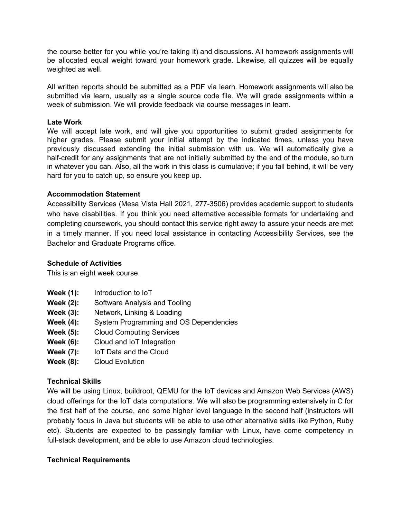the course better for you while you're taking it) and discussions. All homework assignments will be allocated equal weight toward your homework grade. Likewise, all quizzes will be equally weighted as well.

All written reports should be submitted as a PDF via learn. Homework assignments will also be submitted via learn, usually as a single source code file. We will grade assignments within a week of submission. We will provide feedback via course messages in learn.

#### **Late Work**

We will accept late work, and will give you opportunities to submit graded assignments for higher grades. Please submit your initial attempt by the indicated times, unless you have previously discussed extending the initial submission with us. We will automatically give a half-credit for any assignments that are not initially submitted by the end of the module, so turn in whatever you can. Also, all the work in this class is cumulative; if you fall behind, it will be very hard for you to catch up, so ensure you keep up.

#### **Accommodation Statement**

Accessibility Services (Mesa Vista Hall 2021, 277-3506) provides academic support to students who have disabilities. If you think you need alternative accessible formats for undertaking and completing coursework, you should contact this service right away to assure your needs are met in a timely manner. If you need local assistance in contacting Accessibility Services, see the Bachelor and Graduate Programs office.

#### **Schedule of Activities**

This is an eight week course.

- **Week (1):** Introduction to IoT
- **Week (2):** Software Analysis and Tooling
- **Week (3):** Network, Linking & Loading
- **Week (4):** System Programming and OS Dependencies
- **Week (5):** Cloud Computing Services
- **Week (6):** Cloud and IoT Integration
- **Week (7):** IoT Data and the Cloud
- **Week (8):** Cloud Evolution

#### **Technical Skills**

We will be using Linux, buildroot, QEMU for the IoT devices and Amazon Web Services (AWS) cloud offerings for the IoT data computations. We will also be programming extensively in C for the first half of the course, and some higher level language in the second half (instructors will probably focus in Java but students will be able to use other alternative skills like Python, Ruby etc). Students are expected to be passingly familiar with Linux, have come competency in full-stack development, and be able to use Amazon cloud technologies.

#### **Technical Requirements**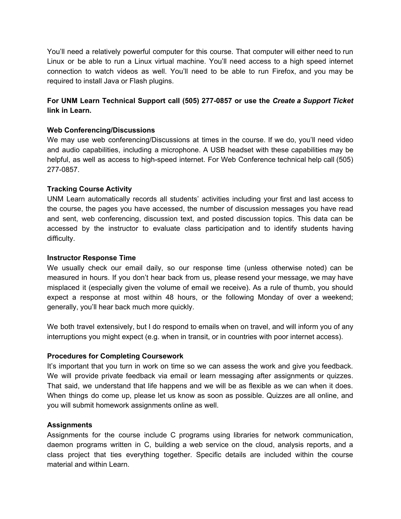You'll need a relatively powerful computer for this course. That computer will either need to run Linux or be able to run a Linux virtual machine. You'll need access to a high speed internet connection to watch videos as well. You'll need to be able to run Firefox, and you may be required to install Java or Flash plugins.

# **For UNM Learn Technical Support call (505) 277-0857 or use the** *Create a Support Ticket* **link in Learn.**

#### **Web Conferencing/Discussions**

We may use web conferencing/Discussions at times in the course. If we do, you'll need video and audio capabilities, including a microphone. A USB headset with these capabilities may be helpful, as well as access to high-speed internet. For Web Conference technical help call (505) 277-0857.

# **Tracking Course Activity**

UNM Learn automatically records all students' activities including your first and last access to the course, the pages you have accessed, the number of discussion messages you have read and sent, web conferencing, discussion text, and posted discussion topics. This data can be accessed by the instructor to evaluate class participation and to identify students having difficulty.

### **Instructor Response Time**

We usually check our email daily, so our response time (unless otherwise noted) can be measured in hours. If you don't hear back from us, please resend your message, we may have misplaced it (especially given the volume of email we receive). As a rule of thumb, you should expect a response at most within 48 hours, or the following Monday of over a weekend; generally, you'll hear back much more quickly.

We both travel extensively, but I do respond to emails when on travel, and will inform you of any interruptions you might expect (e.g. when in transit, or in countries with poor internet access).

# **Procedures for Completing Coursework**

It's important that you turn in work on time so we can assess the work and give you feedback. We will provide private feedback via email or learn messaging after assignments or quizzes. That said, we understand that life happens and we will be as flexible as we can when it does. When things do come up, please let us know as soon as possible. Quizzes are all online, and you will submit homework assignments online as well.

#### **Assignments**

Assignments for the course include C programs using libraries for network communication, daemon programs written in C, building a web service on the cloud, analysis reports, and a class project that ties everything together. Specific details are included within the course material and within Learn.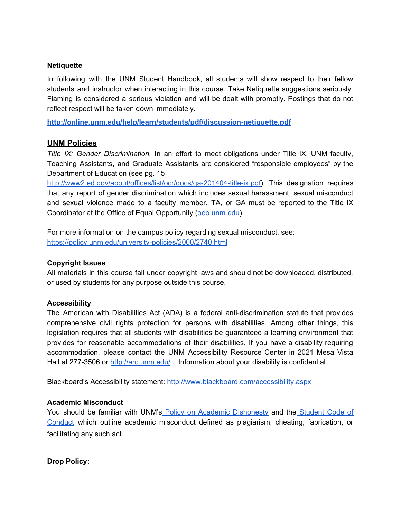#### **Netiquette**

In following with the UNM Student Handbook, all students will show respect to their fellow students and instructor when interacting in this course. Take Netiquette suggestions seriously. Flaming is considered a serious violation and will be dealt with promptly. Postings that do not reflect respect will be taken down immediately.

**<http://online.unm.edu/help/learn/students/pdf/discussion-netiquette.pdf>**

# **UNM Policies**

*Title IX: Gender Discrimination.* In an effort to meet obligations under Title IX, UNM faculty, Teaching Assistants, and Graduate Assistants are considered "responsible employees" by the Department of Education (see pg. 15

<http://www2.ed.gov/about/offices/list/ocr/docs/qa-201404-title-ix.pdf>). This designation requires that any report of gender discrimination which includes sexual harassment, sexual misconduct and sexual violence made to a faculty member, TA, or GA must be reported to the Title IX Coordinator at the Office of Equal Opportunity ([oeo.unm.edu\)](http://oeo.unm.edu/).

For more information on the campus policy regarding sexual misconduct, see: <https://policy.unm.edu/university-policies/2000/2740.html>

#### **Copyright Issues**

All materials in this course fall under copyright laws and should not be downloaded, distributed, or used by students for any purpose outside this course.

#### **Accessibility**

The American with Disabilities Act (ADA) is a federal anti-discrimination statute that provides comprehensive civil rights protection for persons with disabilities. Among other things, this legislation requires that all students with disabilities be guaranteed a learning environment that provides for reasonable accommodations of their disabilities. If you have a disability requiring accommodation, please contact the UNM Accessibility Resource Center in 2021 Mesa Vista Hall at 277-3506 or <http://arc.unm.edu/> . Information about your disability is confidential.

Blackboard's Accessibility statement[:](http://www.blackboard.com/accessibility.aspx) <http://www.blackboard.com/accessibility.aspx>

#### **Academic Misconduct**

You should be familiar with UNM's Policy on Academic [Dishonesty](https://pathfinder.unm.edu/campus-policies/academic-dishonesty.html) and the [Student](https://pathfinder.unm.edu/code-of-conduct.html) Code of [Conduct](https://pathfinder.unm.edu/code-of-conduct.html) which outline academic misconduct defined as plagiarism, cheating, fabrication, or facilitating any such act.

**Drop Policy:**